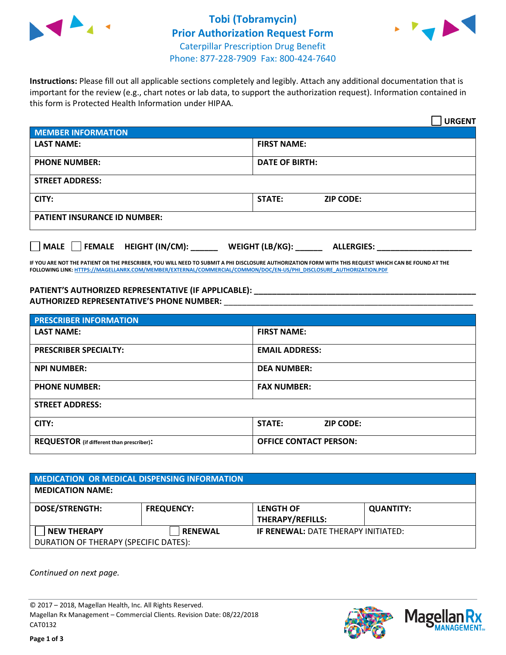

## **Tobi (Tobramycin) Prior Authorization Request Form** Caterpillar Prescription Drug Benefit Phone: 877-228-7909 Fax: 800-424-7640



**Instructions:** Please fill out all applicable sections completely and legibly. Attach any additional documentation that is important for the review (e.g., chart notes or lab data, to support the authorization request). Information contained in this form is Protected Health Information under HIPAA.

|                                                              | <b>URGENT</b>                        |  |  |
|--------------------------------------------------------------|--------------------------------------|--|--|
| <b>MEMBER INFORMATION</b>                                    |                                      |  |  |
| <b>LAST NAME:</b>                                            | <b>FIRST NAME:</b>                   |  |  |
| <b>PHONE NUMBER:</b>                                         | <b>DATE OF BIRTH:</b>                |  |  |
| <b>STREET ADDRESS:</b>                                       |                                      |  |  |
| CITY:                                                        | <b>ZIP CODE:</b><br>STATE:           |  |  |
| <b>PATIENT INSURANCE ID NUMBER:</b>                          |                                      |  |  |
| FEMALE HEIGHT (IN/CM):<br>$\blacksquare$ MALE $\blacksquare$ | WEIGHT (LB/KG):<br><b>ALLERGIES:</b> |  |  |

**IF YOU ARE NOT THE PATIENT OR THE PRESCRIBER, YOU WILL NEED TO SUBMIT A PHI DISCLOSURE AUTHORIZATION FORM WITH THIS REQUEST WHICH CAN BE FOUND AT THE FOLLOWING LINK[: HTTPS://MAGELLANRX.COM/MEMBER/EXTERNAL/COMMERCIAL/COMMON/DOC/EN-US/PHI\\_DISCLOSURE\\_AUTHORIZATION.PDF](https://magellanrx.com/member/external/commercial/common/doc/en-us/PHI_Disclosure_Authorization.pdf)**

**PATIENT'S AUTHORIZED REPRESENTATIVE (IF APPLICABLE): \_\_\_\_\_\_\_\_\_\_\_\_\_\_\_\_\_\_\_\_\_\_\_\_\_\_\_\_\_\_\_\_\_\_\_\_\_\_\_\_\_\_\_\_\_\_\_\_\_ AUTHORIZED REPRESENTATIVE'S PHONE NUMBER:** \_\_\_\_\_\_\_\_\_\_\_\_\_\_\_\_\_\_\_\_\_\_\_\_\_\_\_\_\_\_\_\_\_\_\_\_\_\_\_\_\_\_\_\_\_\_\_\_\_\_\_\_\_\_\_

| <b>PRESCRIBER INFORMATION</b>             |                               |  |  |  |
|-------------------------------------------|-------------------------------|--|--|--|
| <b>LAST NAME:</b>                         | <b>FIRST NAME:</b>            |  |  |  |
| <b>PRESCRIBER SPECIALTY:</b>              | <b>EMAIL ADDRESS:</b>         |  |  |  |
| <b>NPI NUMBER:</b>                        | <b>DEA NUMBER:</b>            |  |  |  |
| <b>PHONE NUMBER:</b>                      | <b>FAX NUMBER:</b>            |  |  |  |
| <b>STREET ADDRESS:</b>                    |                               |  |  |  |
| CITY:                                     | STATE:<br><b>ZIP CODE:</b>    |  |  |  |
| REQUESTOR (if different than prescriber): | <b>OFFICE CONTACT PERSON:</b> |  |  |  |

| <b>MEDICATION OR MEDICAL DISPENSING INFORMATION</b>         |                   |                                             |                  |  |  |
|-------------------------------------------------------------|-------------------|---------------------------------------------|------------------|--|--|
| <b>MEDICATION NAME:</b>                                     |                   |                                             |                  |  |  |
| <b>DOSE/STRENGTH:</b>                                       | <b>FREQUENCY:</b> | <b>LENGTH OF</b><br><b>THERAPY/REFILLS:</b> | <b>QUANTITY:</b> |  |  |
| <b>NEW THERAPY</b><br>DURATION OF THERAPY (SPECIFIC DATES): | <b>RENEWAL</b>    | <b>IF RENEWAL: DATE THERAPY INITIATED:</b>  |                  |  |  |

*Continued on next page.*

© 2017 – 2018, Magellan Health, Inc. All Rights Reserved. Magellan Rx Management – Commercial Clients. Revision Date: 08/22/2018 CAT0132



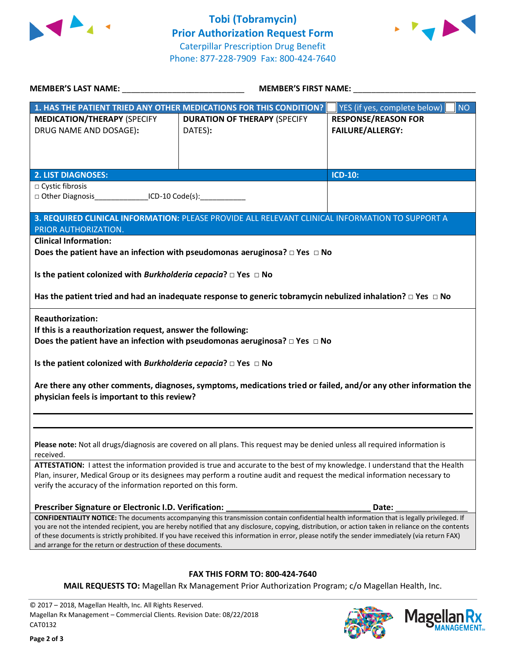



| <b>MEMBER'S LAST NAME:</b> NAME                                                                                                                                                                                    | <b>MEMBER'S FIRST NAME:</b>                                                                                                                                                                                                                                                                                                                                                                                                                            |                                                       |
|--------------------------------------------------------------------------------------------------------------------------------------------------------------------------------------------------------------------|--------------------------------------------------------------------------------------------------------------------------------------------------------------------------------------------------------------------------------------------------------------------------------------------------------------------------------------------------------------------------------------------------------------------------------------------------------|-------------------------------------------------------|
|                                                                                                                                                                                                                    | 1. HAS THE PATIENT TRIED ANY OTHER MEDICATIONS FOR THIS CONDITION?                                                                                                                                                                                                                                                                                                                                                                                     | YES (if yes, complete below)<br><b>NO</b>             |
| <b>MEDICATION/THERAPY (SPECIFY</b><br>DRUG NAME AND DOSAGE):                                                                                                                                                       | <b>DURATION OF THERAPY (SPECIFY</b><br>DATES):                                                                                                                                                                                                                                                                                                                                                                                                         | <b>RESPONSE/REASON FOR</b><br><b>FAILURE/ALLERGY:</b> |
| <b>2. LIST DIAGNOSES:</b>                                                                                                                                                                                          |                                                                                                                                                                                                                                                                                                                                                                                                                                                        | <b>ICD-10:</b>                                        |
| □ Cystic fibrosis<br>□ Other Diagnosis __________________ICD-10 Code(s):                                                                                                                                           |                                                                                                                                                                                                                                                                                                                                                                                                                                                        |                                                       |
| PRIOR AUTHORIZATION.                                                                                                                                                                                               | 3. REQUIRED CLINICAL INFORMATION: PLEASE PROVIDE ALL RELEVANT CLINICAL INFORMATION TO SUPPORT A                                                                                                                                                                                                                                                                                                                                                        |                                                       |
| <b>Clinical Information:</b>                                                                                                                                                                                       | Does the patient have an infection with pseudomonas aeruginosa? $\Box$ Yes $\Box$ No                                                                                                                                                                                                                                                                                                                                                                   |                                                       |
| Is the patient colonized with Burkholderia cepacia? $\Box$ Yes $\Box$ No                                                                                                                                           |                                                                                                                                                                                                                                                                                                                                                                                                                                                        |                                                       |
|                                                                                                                                                                                                                    | Has the patient tried and had an inadequate response to generic tobramycin nebulized inhalation? $\Box$ Yes $\Box$ No                                                                                                                                                                                                                                                                                                                                  |                                                       |
| <b>Reauthorization:</b><br>If this is a reauthorization request, answer the following:<br>Is the patient colonized with Burkholderia cepacia? $\Box$ Yes $\Box$ No<br>physician feels is important to this review? | Does the patient have an infection with pseudomonas aeruginosa? $\Box$ Yes $\Box$ No<br>Are there any other comments, diagnoses, symptoms, medications tried or failed, and/or any other information the                                                                                                                                                                                                                                               |                                                       |
| received.                                                                                                                                                                                                          | Please note: Not all drugs/diagnosis are covered on all plans. This request may be denied unless all required information is                                                                                                                                                                                                                                                                                                                           |                                                       |
| verify the accuracy of the information reported on this form.                                                                                                                                                      | ATTESTATION: I attest the information provided is true and accurate to the best of my knowledge. I understand that the Health<br>Plan, insurer, Medical Group or its designees may perform a routine audit and request the medical information necessary to                                                                                                                                                                                            |                                                       |
| Prescriber Signature or Electronic I.D. Verification:                                                                                                                                                              |                                                                                                                                                                                                                                                                                                                                                                                                                                                        | Date:                                                 |
| and arrange for the return or destruction of these documents.                                                                                                                                                      | CONFIDENTIALITY NOTICE: The documents accompanying this transmission contain confidential health information that is legally privileged. If<br>you are not the intended recipient, you are hereby notified that any disclosure, copying, distribution, or action taken in reliance on the contents<br>of these documents is strictly prohibited. If you have received this information in error, please notify the sender immediately (via return FAX) |                                                       |
|                                                                                                                                                                                                                    | <b>FAX THIS FORM TO: 800-424-7640</b><br><b>MAIL REQUESTS TO:</b> Magellan Rx Management Prior Authorization Program; c/o Magellan Health, Inc.                                                                                                                                                                                                                                                                                                        |                                                       |
| © 2017 - 2018, Magellan Health, Inc. All Rights Reserved.<br>Magellan Rx Management - Commercial Clients. Revision Date: 08/22/2018<br>CAT0132                                                                     |                                                                                                                                                                                                                                                                                                                                                                                                                                                        | <b>Magella</b>                                        |